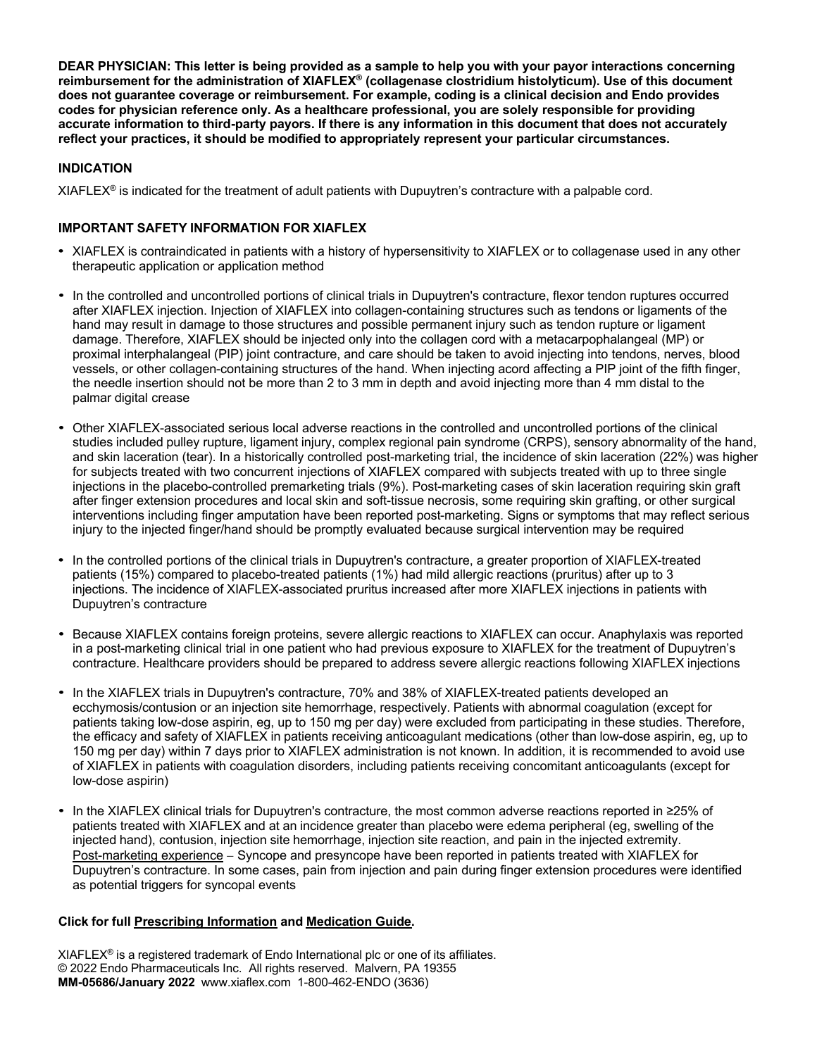**DEAR PHYSICIAN: This letter is being provided as a sample to help you with your payor interactions concerning reimbursement for the administration of XIAFLEX® (collagenase clostridium histolyticum). Use of this document does not guarantee coverage or reimbursement. For example, coding is a clinical decision and Endo provides codes for physician reference only. As a healthcare professional, you are solely responsible for providing accurate information to third-party payors. If there is any information in this document that does not accurately reflect your practices, it should be modified to appropriately represent your particular circumstances.**

# **INDICATION**

 $XIAFLEX^{\circ}$  is indicated for the treatment of adult patients with Dupuytren's contracture with a palpable cord.

## **IMPORTANT SAFETY INFORMATION FOR XIAFLEX**

- XIAFLEX is contraindicated in patients with a history of hypersensitivity to XIAFLEX or to collagenase used in any other therapeutic application or application method
- In the controlled and uncontrolled portions of clinical trials in Dupuytren's contracture, flexor tendon ruptures occurred after XIAFLEX injection. Injection of XIAFLEX into collagen-containing structures such as tendons or ligaments of the hand may result in damage to those structures and possible permanent injury such as tendon rupture or ligament damage. Therefore, XIAFLEX should be injected only into the collagen cord with a metacarpophalangeal (MP) or proximal interphalangeal (PIP) joint contracture, and care should be taken to avoid injecting into tendons, nerves, blood vessels, or other collagen-containing structures of the hand. When injecting acord affecting a PIP joint of the fifth finger, the needle insertion should not be more than 2 to 3 mm in depth and avoid injecting more than 4 mm distal to the palmar digital crease
- Other XIAFLEX-associated serious local adverse reactions in the controlled and uncontrolled portions of the clinical studies included pulley rupture, ligament injury, complex regional pain syndrome (CRPS), sensory abnormality of the hand, and skin laceration (tear). In a historically controlled post-marketing trial, the incidence of skin laceration (22%) was higher for subjects treated with two concurrent injections of XIAFLEX compared with subjects treated with up to three single injections in the placebo-controlled premarketing trials (9%). Post-marketing cases of skin laceration requiring skin graft after finger extension procedures and local skin and soft-tissue necrosis, some requiring skin grafting, or other surgical interventions including finger amputation have been reported post-marketing. Signs or symptoms that may reflect serious injury to the injected finger/hand should be promptly evaluated because surgical intervention may be required
- In the controlled portions of the clinical trials in Dupuytren's contracture, a greater proportion of XIAFLEX-treated patients (15%) compared to placebo-treated patients (1%) had mild allergic reactions (pruritus) after up to 3 injections. The incidence of XIAFLEX-associated pruritus increased after more XIAFLEX injections in patients with Dupuytren's contracture
- Because XIAFLEX contains foreign proteins, severe allergic reactions to XIAFLEX can occur. Anaphylaxis was reported in a post-marketing clinical trial in one patient who had previous exposure to XIAFLEX for the treatment of Dupuytren's contracture. Healthcare providers should be prepared to address severe allergic reactions following XIAFLEX injections
- In the XIAFLEX trials in Dupuytren's contracture, 70% and 38% of XIAFLEX-treated patients developed an ecchymosis/contusion or an injection site hemorrhage, respectively. Patients with abnormal coagulation (except for patients taking low-dose aspirin, eg, up to 150 mg per day) were excluded from participating in these studies. Therefore, the efficacy and safety of XIAFLEX in patients receiving anticoagulant medications (other than low-dose aspirin, eg, up to 150 mg per day) within 7 days prior to XIAFLEX administration is not known. In addition, it is recommended to avoid use of XIAFLEX in patients with coagulation disorders, including patients receiving concomitant anticoagulants (except for low-dose aspirin)
- In the XIAFLEX clinical trials for Dupuytren's contracture, the most common adverse reactions reported in ≥25% of patients treated with XIAFLEX and at an incidence greater than placebo were edema peripheral (eg, swelling of the injected hand), contusion, injection site hemorrhage, injection site reaction, and pain in the injected extremity. Post-marketing experience - Syncope and presyncope have been reported in patients treated with XIAFLEX for Dupuytren's contracture. In some cases, pain from injection and pain during finger extension procedures were identified as potential triggers for syncopal events

## **Click for full [Prescribing](https://endodocuments.com/XIAFLEX/PI) Information and [Medication](https://endodocuments.com/XIAFLEX/MG) Guide.**

 $XIAFLEX^{\circledcirc}$  is a registered trademark of Endo International plc or one of its affiliates. © 2022 Endo Pharmaceuticals Inc. All rights reserved. Malvern, PA 19355 **MM-05686/January 2022** www.xiaflex.com 1-800-462-ENDO (3636)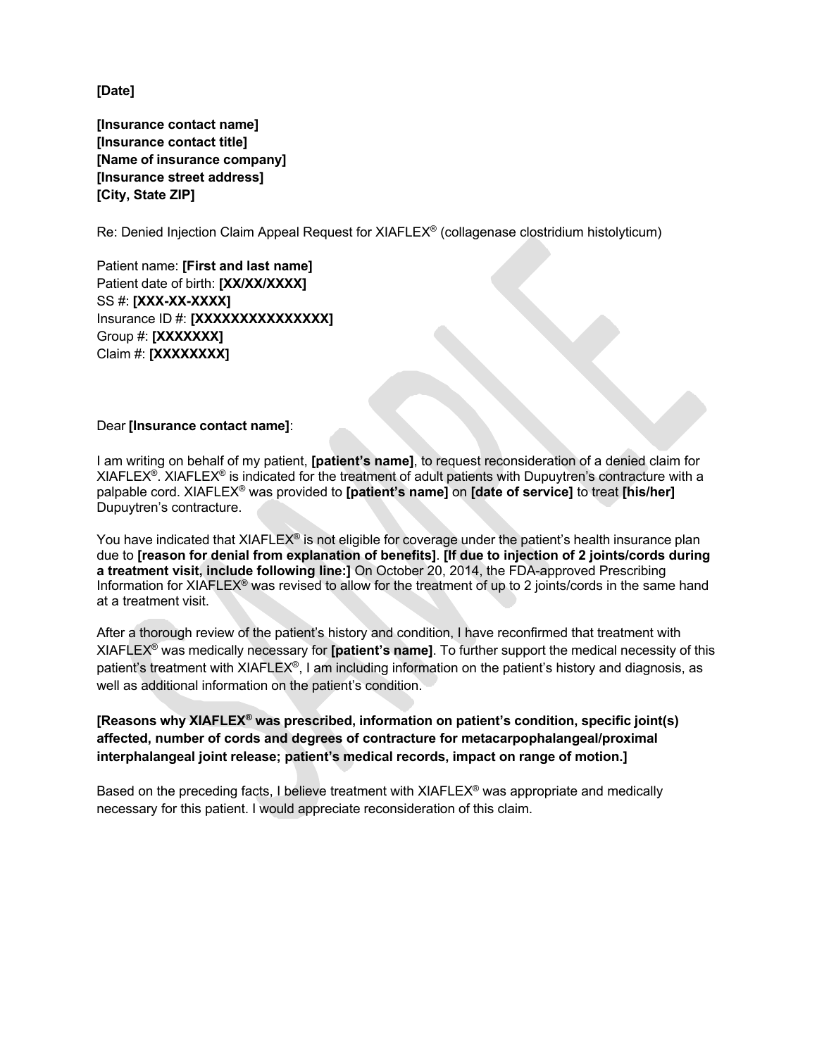**[Date]** 

**[Insurance contact name] [Insurance contact title] [Name of insurance company] [Insurance street address] [City, State ZIP]** 

Re: Denied Injection Claim Appeal Request for XIAFLEX® (collagenase clostridium histolyticum)

Patient name: **[First and last name]**  Patient date of birth: **[XX/XX/XXXX]**  SS #: **[XXX-XX-XXXX]**  Insurance ID #: **[XXXXXXXXXXXXXXX]**  Group #: **[XXXXXXX]** Claim #: **[XXXXXXXX]**

### Dear **[Insurance contact name]**:

I am writing on behalf of my patient, **[patient's name]**, to request reconsideration of a denied claim for XIAFLEX<sup>®</sup>. XIAFLEX<sup>®</sup> is indicated for the treatment of adult patients with Dupuytren's contracture with a palpable cord. XIAFLEX® was provided to **[patient's name]** on **[date of service]** to treat **[his/her]** Dupuytren's contracture.

You have indicated that XIAFLEX® is not eligible for coverage under the patient's health insurance plan due to **[reason for denial from explanation of benefits]**. **[If due to injection of 2 joints/cords during a treatment visit, include following line:]** On October 20, 2014, the FDA-approved Prescribing Information for XIAFLEX® was revised to allow for the treatment of up to 2 joints/cords in the same hand at a treatment visit.

After a thorough review of the patient's history and condition, I have reconfirmed that treatment with XIAFLEX® was medically necessary for **[patient's name]**. To further support the medical necessity of this patient's treatment with XIAFLEX®, I am including information on the patient's history and diagnosis, as well as additional information on the patient's condition.

**[Reasons why XIAFLEX® was prescribed, information on patient's condition, specific joint(s) affected, number of cords and degrees of contracture for metacarpophalangeal/proximal interphalangeal joint release; patient's medical records, impact on range of motion.]**

Based on the preceding facts, I believe treatment with XIAFLEX® was appropriate and medically necessary for this patient. I would appreciate reconsideration of this claim.